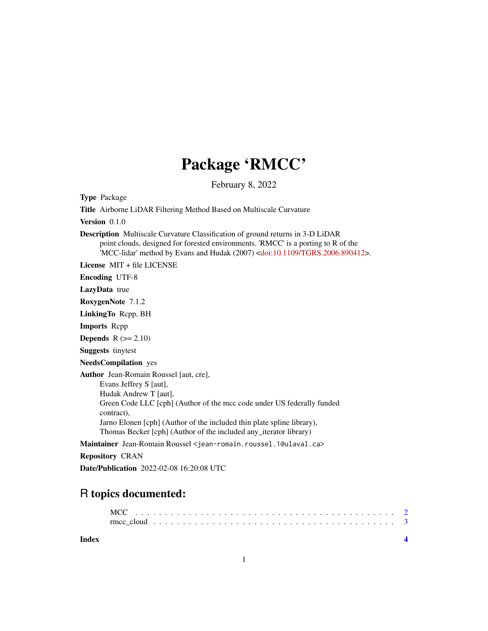## Package 'RMCC'

February 8, 2022

Type Package Title Airborne LiDAR Filtering Method Based on Multiscale Curvature Version 0.1.0 Description Multiscale Curvature Classification of ground returns in 3-D LiDAR point clouds, designed for forested environments. 'RMCC' is a porting to R of the 'MCC-lidar' method by Evans and Hudak (2007) [<doi:10.1109/TGRS.2006.890412>](https://doi.org/10.1109/TGRS.2006.890412). License MIT + file LICENSE Encoding UTF-8 LazyData true RoxygenNote 7.1.2 LinkingTo Rcpp, BH Imports Rcpp Depends  $R (= 2.10)$ Suggests tinytest NeedsCompilation yes Author Jean-Romain Roussel [aut, cre], Evans Jeffrey S [aut], Hudak Andrew T [aut], Green Code LLC [cph] (Author of the mcc code under US federally funded contract), Jarno Elonen [cph] (Author of the included thin plate spline library), Thomas Becker [cph] (Author of the included any\_iterator library) Maintainer Jean-Romain Roussel <jean-romain.roussel.1@ulaval.ca> Repository CRAN Date/Publication 2022-02-08 16:20:08 UTC

### R topics documented:

**Index** [4](#page-3-0)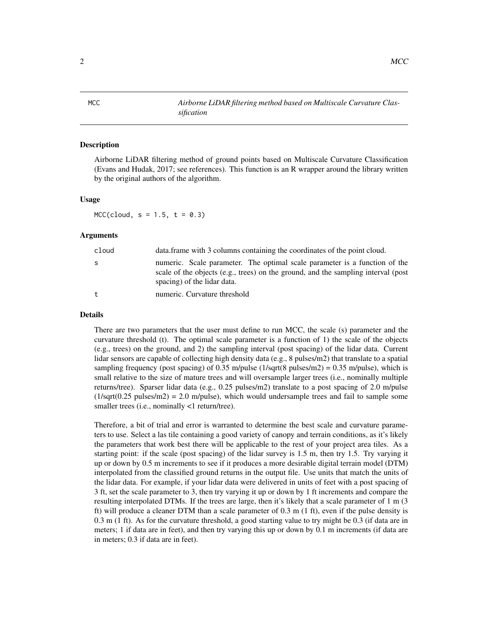#### Description

Airborne LiDAR filtering method of ground points based on Multiscale Curvature Classification (Evans and Hudak, 2017; see references). This function is an R wrapper around the library written by the original authors of the algorithm.

#### Usage

 $MCC(cloud, s = 1.5, t = 0.3)$ 

#### Arguments

| cloud | data. frame with 3 columns containing the coordinates of the point cloud.                                                                                                                      |  |
|-------|------------------------------------------------------------------------------------------------------------------------------------------------------------------------------------------------|--|
| S     | numeric. Scale parameter. The optimal scale parameter is a function of the<br>scale of the objects (e.g., trees) on the ground, and the sampling interval (post<br>spacing) of the lidar data. |  |
| t     | numeric. Curvature threshold                                                                                                                                                                   |  |

#### Details

There are two parameters that the user must define to run MCC, the scale (s) parameter and the curvature threshold (t). The optimal scale parameter is a function of 1) the scale of the objects (e.g., trees) on the ground, and 2) the sampling interval (post spacing) of the lidar data. Current lidar sensors are capable of collecting high density data (e.g., 8 pulses/m2) that translate to a spatial sampling frequency (post spacing) of 0.35 m/pulse ( $1$ /sqrt(8 pulses/m2) = 0.35 m/pulse), which is small relative to the size of mature trees and will oversample larger trees (i.e., nominally multiple returns/tree). Sparser lidar data (e.g.,  $0.25$  pulses/m2) translate to a post spacing of 2.0 m/pulse  $(1/\sqrt{9}t)(0.25 \text{ pulses/m2}) = 2.0 \text{ m}/\text{pulse}$ , which would undersample trees and fail to sample some smaller trees (i.e., nominally <1 return/tree).

Therefore, a bit of trial and error is warranted to determine the best scale and curvature parameters to use. Select a las tile containing a good variety of canopy and terrain conditions, as it's likely the parameters that work best there will be applicable to the rest of your project area tiles. As a starting point: if the scale (post spacing) of the lidar survey is 1.5 m, then try 1.5. Try varying it up or down by 0.5 m increments to see if it produces a more desirable digital terrain model (DTM) interpolated from the classified ground returns in the output file. Use units that match the units of the lidar data. For example, if your lidar data were delivered in units of feet with a post spacing of 3 ft, set the scale parameter to 3, then try varying it up or down by 1 ft increments and compare the resulting interpolated DTMs. If the trees are large, then it's likely that a scale parameter of 1 m (3 ft) will produce a cleaner DTM than a scale parameter of 0.3 m (1 ft), even if the pulse density is 0.3 m (1 ft). As for the curvature threshold, a good starting value to try might be 0.3 (if data are in meters; 1 if data are in feet), and then try varying this up or down by 0.1 m increments (if data are in meters; 0.3 if data are in feet).

<span id="page-1-0"></span>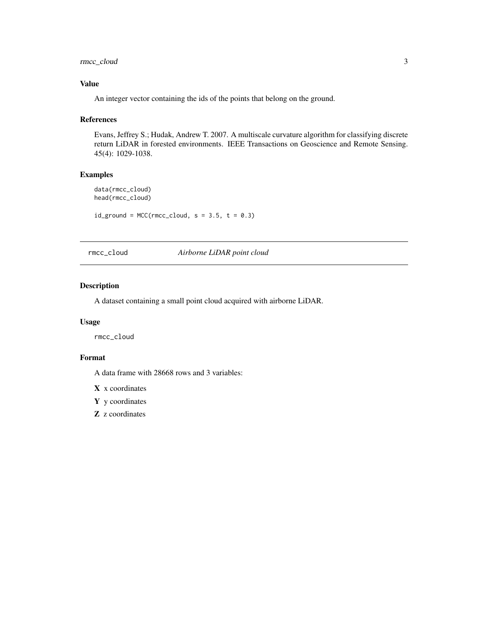<span id="page-2-0"></span>rmcc\_cloud 3

#### Value

An integer vector containing the ids of the points that belong on the ground.

#### References

Evans, Jeffrey S.; Hudak, Andrew T. 2007. A multiscale curvature algorithm for classifying discrete return LiDAR in forested environments. IEEE Transactions on Geoscience and Remote Sensing. 45(4): 1029-1038.

#### Examples

data(rmcc\_cloud) head(rmcc\_cloud)

 $id\_ground = MCC(rmcc\_cloud, s = 3.5, t = 0.3)$ 

rmcc\_cloud *Airborne LiDAR point cloud*

#### Description

A dataset containing a small point cloud acquired with airborne LiDAR.

#### Usage

rmcc\_cloud

#### Format

A data frame with 28668 rows and 3 variables:

 $X$  x coordinates

Y y coordinates

Z z coordinates